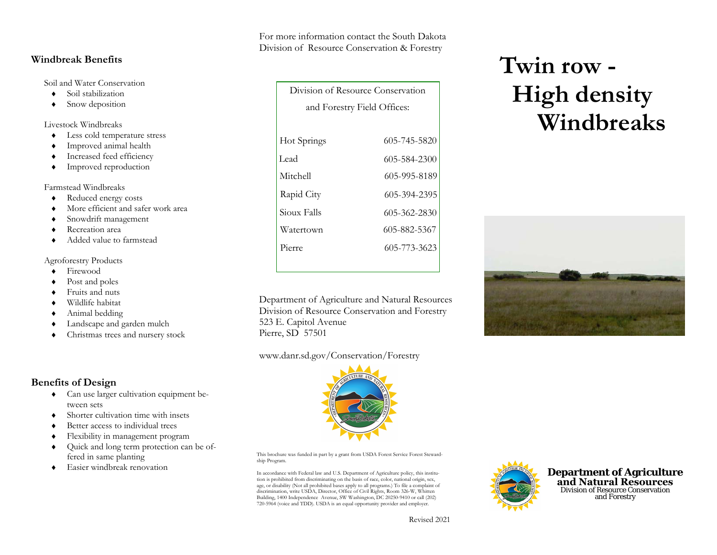# **Benefits of Design**

**Windbreak Benefits** 

♦

♦

♦

♦

♦

♦

♦

♦

♦

♦

♦

♦

♦

♦

♦

♦

♦

♦

Soil and Water Conservation

Soil stabilization

Snow deposition

Less cold temperature stress

Improved animal health

Increased feed efficiency

Improved reproduction

Reduced energy costs

Snowdrift management

Added value to farmstead

Recreation area

More efficient and safer work area

Livestock Windbreaks

Farmstead Windbreaks

Agroforestry Products

Firewood

Post and poles

Fruits and nuts

Wildlife habitat

Animal bedding

- ♦ Can use larger cultivation equipment between sets
- ♦Shorter cultivation time with insets

Landscape and garden mulch

Christmas trees and nursery stock

- ♦Better access to individual trees
- ♦Flexibility in management program
- ♦ Quick and long term protection can be offered in same planting
- ♦Easier windbreak renovation

For more information contact the South Dakota Division of Resource Conservation & Forestry

Division of Resource Conservation

| <b>LIVISION OF RESOURCE CONSERVANON</b> |              |
|-----------------------------------------|--------------|
| and Forestry Field Offices:             |              |
|                                         |              |
| Hot Springs                             | 605-745-5820 |
| Lead                                    | 605-584-2300 |
| Mitchell                                | 605-995-8189 |
| Rapid City                              | 605-394-2395 |
| Sioux Falls                             | 605-362-2830 |
| Watertown                               | 605-882-5367 |
| Pierre                                  | 605-773-3623 |
|                                         |              |

Department of Agriculture and Natural ResourcesDivision of Resource Conservation and Forestry 523 E. Capitol Avenue Pierre, SD 57501

#### www.danr.sd.gov/Conservation/Forestry

This brochure was funded in part by a grant from USDA Forest Service Forest Stewardship Program.

In accordance with Federal law and U.S. Department of Agriculture policy, this institution is prohibited from discriminating on the basis of race, color, national origin, sex, age, or disability (Not all prohibited bases apply to all programs.) To file a complaint of discrimination, write USDA, Director, Office of Civil Rights, Room 326-W, Whitten Building, 1400 Independence Avenue, SW Washington, DC 20250-9410 or call (202) 720-5964 (voice and TDD). USDA is an equal opportunity provider and employer.



**Department of Agriculture and Natural Resources** Division of Resource Conservation and Forestry

# **Twin row - High density Windbreaks**